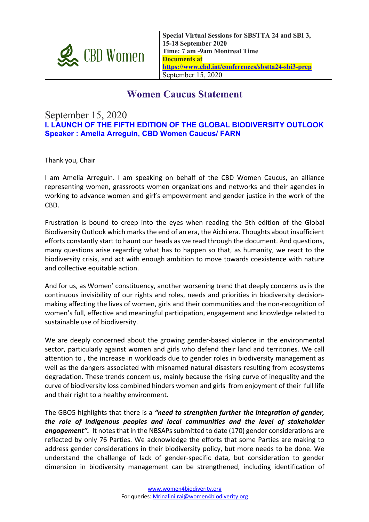

**Special Virtual Sessions for SBSTTA 24 and SBI 3, 15-18 September 2020 Time: 7 am -9am Montreal Time Documents at https://www.cbd.int/conferences/sbstta24-sbi3-prep** September 15, 2020

## **Women Caucus Statement**

## September 15, 2020

**I. LAUNCH OF THE FIFTH EDITION OF THE GLOBAL BIODIVERSITY OUTLOOK Speaker : Amelia Arreguin, CBD Women Caucus/ FARN**

Thank you, Chair

I am Amelia Arreguin. I am speaking on behalf of the CBD Women Caucus, an alliance representing women, grassroots women organizations and networks and their agencies in working to advance women and girl's empowerment and gender justice in the work of the CBD.

Frustration is bound to creep into the eyes when reading the 5th edition of the Global Biodiversity Outlook which marks the end of an era, the Aichi era. Thoughts about insufficient efforts constantly start to haunt our heads as we read through the document. And questions, many questions arise regarding what has to happen so that, as humanity, we react to the biodiversity crisis, and act with enough ambition to move towards coexistence with nature and collective equitable action.

And for us, as Women' constituency, another worsening trend that deeply concerns us is the continuous invisibility of our rights and roles, needs and priorities in biodiversity decisionmaking affecting the lives of women, girls and their communities and the non-recognition of women's full, effective and meaningful participation, engagement and knowledge related to sustainable use of biodiversity.

We are deeply concerned about the growing gender-based violence in the environmental sector, particularly against women and girls who defend their land and territories. We call attention to , the increase in workloads due to gender roles in biodiversity management as well as the dangers associated with misnamed natural disasters resulting from ecosystems degradation. These trends concern us, mainly because the rising curve of inequality and the curve of biodiversity loss combined hinders women and girls from enjoyment of their full life and their right to a healthy environment.

The GBO5 highlights that there is a *"need to strengthen further the integration of gender, the role of indigenous peoples and local communities and the level of stakeholder engagement".* It notes that in the NBSAPs submitted to date (170) gender considerations are reflected by only 76 Parties. We acknowledge the efforts that some Parties are making to address gender considerations in their biodiversity policy, but more needs to be done. We understand the challenge of lack of gender-specific data, but consideration to gender dimension in biodiversity management can be strengthened, including identification of